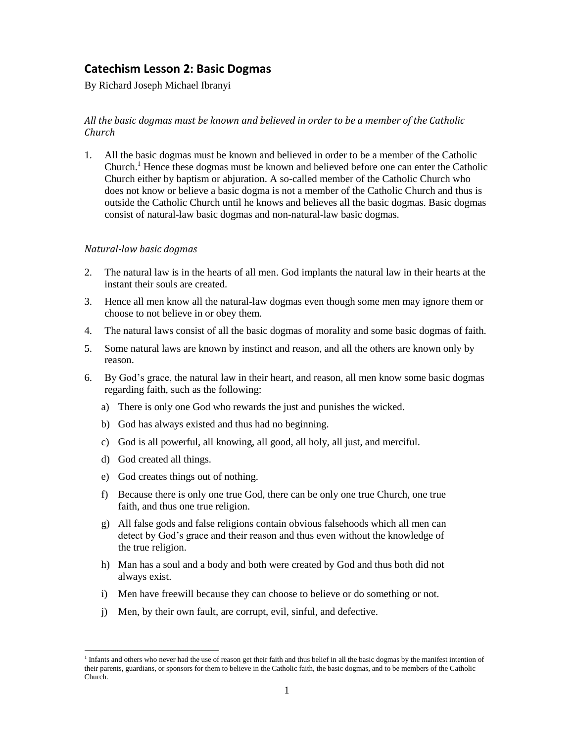## **Catechism Lesson 2: Basic Dogmas**

By Richard Joseph Michael Ibranyi

## *All the basic dogmas must be known and believed in order to be a member of the Catholic Church*

1. All the basic dogmas must be known and believed in order to be a member of the Catholic Church.<sup>1</sup> Hence these dogmas must be known and believed before one can enter the Catholic Church either by baptism or abjuration. A so-called member of the Catholic Church who does not know or believe a basic dogma is not a member of the Catholic Church and thus is outside the Catholic Church until he knows and believes all the basic dogmas. Basic dogmas consist of natural-law basic dogmas and non-natural-law basic dogmas.

## *Natural-law basic dogmas*

- 2. The natural law is in the hearts of all men. God implants the natural law in their hearts at the instant their souls are created.
- 3. Hence all men know all the natural-law dogmas even though some men may ignore them or choose to not believe in or obey them.
- 4. The natural laws consist of all the basic dogmas of morality and some basic dogmas of faith.
- 5. Some natural laws are known by instinct and reason, and all the others are known only by reason.
- 6. By God's grace, the natural law in their heart, and reason, all men know some basic dogmas regarding faith, such as the following:
	- a) There is only one God who rewards the just and punishes the wicked.
	- b) God has always existed and thus had no beginning.
	- c) God is all powerful, all knowing, all good, all holy, all just, and merciful.
	- d) God created all things.

l

- e) God creates things out of nothing.
- f) Because there is only one true God, there can be only one true Church, one true faith, and thus one true religion.
- g) All false gods and false religions contain obvious falsehoods which all men can detect by God's grace and their reason and thus even without the knowledge of the true religion.
- h) Man has a soul and a body and both were created by God and thus both did not always exist.
- i) Men have freewill because they can choose to believe or do something or not.
- j) Men, by their own fault, are corrupt, evil, sinful, and defective.

<sup>&</sup>lt;sup>1</sup> Infants and others who never had the use of reason get their faith and thus belief in all the basic dogmas by the manifest intention of their parents, guardians, or sponsors for them to believe in the Catholic faith, the basic dogmas, and to be members of the Catholic Church.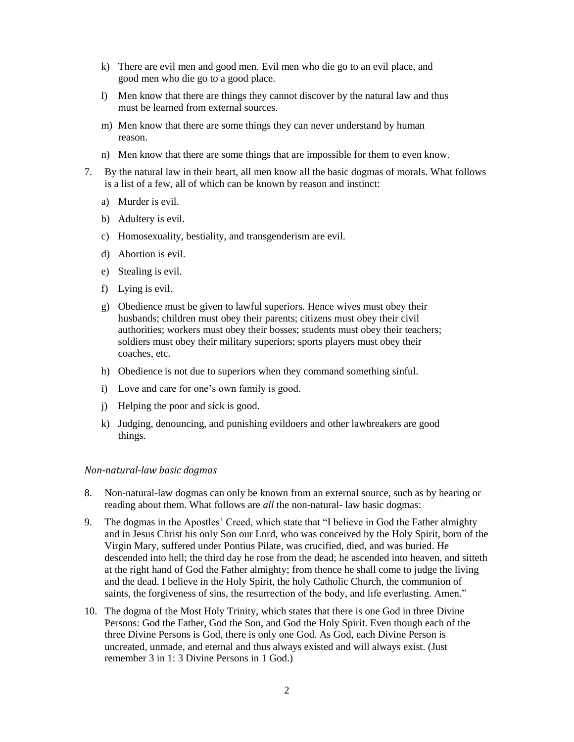- k) There are evil men and good men. Evil men who die go to an evil place, and good men who die go to a good place.
- l) Men know that there are things they cannot discover by the natural law and thus must be learned from external sources.
- m) Men know that there are some things they can never understand by human reason.
- n) Men know that there are some things that are impossible for them to even know.
- 7. By the natural law in their heart, all men know all the basic dogmas of morals. What follows is a list of a few, all of which can be known by reason and instinct:
	- a) Murder is evil.
	- b) Adultery is evil.
	- c) Homosexuality, bestiality, and transgenderism are evil.
	- d) Abortion is evil.
	- e) Stealing is evil.
	- f) Lying is evil.
	- g) Obedience must be given to lawful superiors. Hence wives must obey their husbands; children must obey their parents; citizens must obey their civil authorities; workers must obey their bosses; students must obey their teachers; soldiers must obey their military superiors; sports players must obey their coaches, etc.
	- h) Obedience is not due to superiors when they command something sinful.
	- i) Love and care for one's own family is good.
	- j) Helping the poor and sick is good.
	- k) Judging, denouncing, and punishing evildoers and other lawbreakers are good things.

## *Non-natural-law basic dogmas*

- 8. Non-natural-law dogmas can only be known from an external source, such as by hearing or reading about them. What follows are *all* the non-natural- law basic dogmas:
- 9. The dogmas in the Apostles' Creed, which state that "I believe in God the Father almighty and in Jesus Christ his only Son our Lord, who was conceived by the Holy Spirit, born of the Virgin Mary, suffered under Pontius Pilate, was crucified, died, and was buried. He descended into hell; the third day he rose from the dead; he ascended into heaven, and sitteth at the right hand of God the Father almighty; from thence he shall come to judge the living and the dead. I believe in the Holy Spirit, the holy Catholic Church, the communion of saints, the forgiveness of sins, the resurrection of the body, and life everlasting. Amen."
- 10. The dogma of the Most Holy Trinity, which states that there is one God in three Divine Persons: God the Father, God the Son, and God the Holy Spirit. Even though each of the three Divine Persons is God, there is only one God. As God, each Divine Person is uncreated, unmade, and eternal and thus always existed and will always exist. (Just remember 3 in 1: 3 Divine Persons in 1 God.)